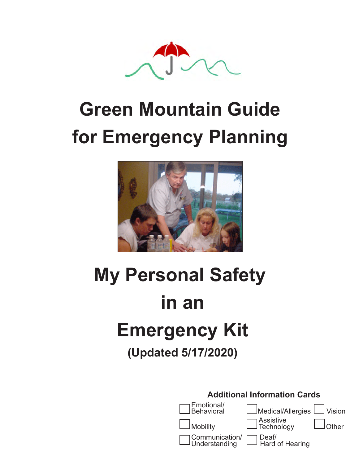

### **Green Mountain Guide for Emergency Planning**  $\Gamma$  Emergency Pianning.



### **My Personal Safety in an Emergency Kit (Updated 5/17/2020) Special Initiatives Grant from the**

| <b>Additional Information Cards</b> |                                                       |  |
|-------------------------------------|-------------------------------------------------------|--|
| $\Box$ Emotional/<br>Behavioral     | Medical/Allergies UVision                             |  |
| $\Box$ Mobility                     | □ Assistive<br>□ Technology   □ Other                 |  |
|                                     | Communication/ Deaf/<br>Understanding Lard of Hearing |  |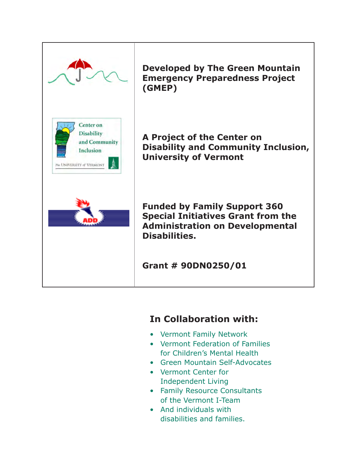

**Developed by The Green Mountain Emergency Preparedness Project (GMEP)**

**A Project of the Center on Disability and Community Inclusion, University of Vermont**

**Funded by Family Support 360 Special Initiatives Grant from the Administration on Developmental Disabilities.** 

**Grant # 90DN0250/01** 

### **In Collaboration with:**

- Vermont Family Network
- Vermont Federation of Families for Children's Mental Health
- Green Mountain Self-Advocates
- Vermont Center for Independent Living
- Family Resource Consultants of the Vermont I-Team
- And individuals with disabilities and families.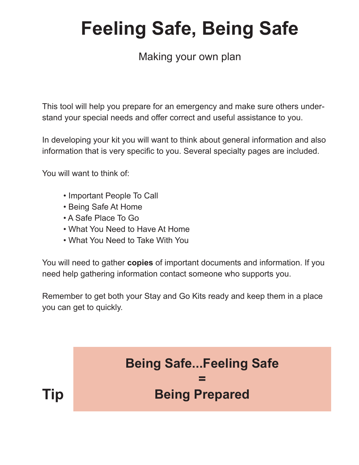# **Feeling Safe, Being Safe**

### Making your own plan

This tool will help you prepare for an emergency and make sure others understand your special needs and offer correct and useful assistance to you.

In developing your kit you will want to think about general information and also information that is very specific to you. Several specialty pages are included.

You will want to think of:

- Important People To Call
- Being Safe At Home
- A Safe Place To Go
- What You Need to Have At Home
- What You Need to Take With You

You will need to gather **copies** of important documents and information. If you need help gathering information contact someone who supports you.

Remember to get both your Stay and Go Kits ready and keep them in a place you can get to quickly.

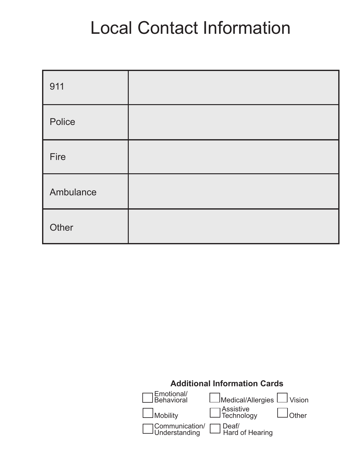# Local Contact Information

| 911       |  |
|-----------|--|
| Police    |  |
| Fire      |  |
| Ambulance |  |
| Other     |  |

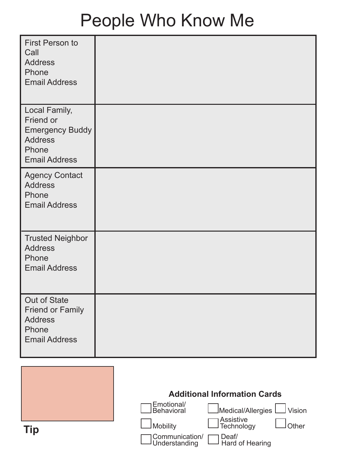# People Who Know Me

| First Person to<br>Call<br><b>Address</b><br>Phone<br><b>Email Address</b>                              |  |
|---------------------------------------------------------------------------------------------------------|--|
| Local Family,<br>Friend or<br><b>Emergency Buddy</b><br><b>Address</b><br>Phone<br><b>Email Address</b> |  |
| <b>Agency Contact</b><br><b>Address</b><br>Phone<br><b>Email Address</b>                                |  |
| <b>Trusted Neighbor</b><br><b>Address</b><br>Phone<br><b>Email Address</b>                              |  |
| Out of State<br><b>Friend or Family</b><br><b>Address</b><br>Phone<br><b>Email Address</b>              |  |

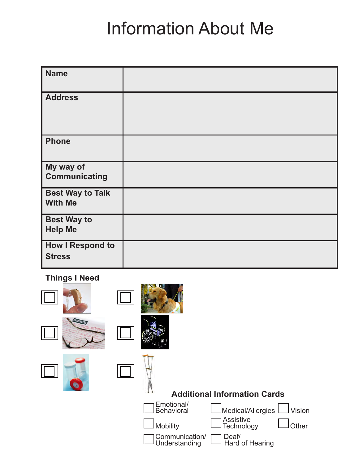# Information About Me

| <b>Name</b>                               |  |
|-------------------------------------------|--|
| <b>Address</b>                            |  |
| <b>Phone</b>                              |  |
| My way of<br><b>Communicating</b>         |  |
| <b>Best Way to Talk</b><br><b>With Me</b> |  |
| <b>Best Way to</b><br><b>Help Me</b>      |  |
| <b>How I Respond to</b><br><b>Stress</b>  |  |

### **Things I Need**

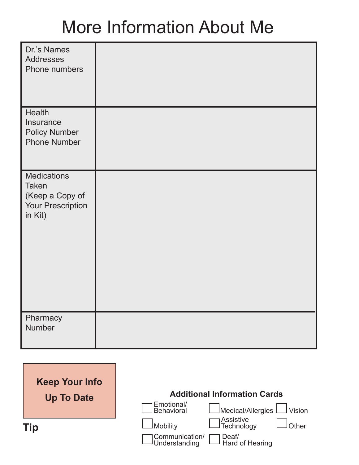# More Information About Me

| Dr.'s Names<br><b>Addresses</b><br>Phone numbers                                             |  |
|----------------------------------------------------------------------------------------------|--|
| <b>Health</b><br>Insurance<br><b>Policy Number</b><br><b>Phone Number</b>                    |  |
| <b>Medications</b><br><b>Taken</b><br>(Keep a Copy of<br><b>Your Prescription</b><br>in Kit) |  |
| Pharmacy<br><b>Number</b>                                                                    |  |
|                                                                                              |  |

| <b>Keep Your Info</b><br><b>Up To Date</b> | <b>Additional Information Cards</b>                             |
|--------------------------------------------|-----------------------------------------------------------------|
|                                            | Emotional/<br>Behavioral<br>∟Medical/Allergies LJ Vision        |
| Tip                                        | ∏Assistive<br>∃Technology<br><b>JMobility</b><br>Other          |
|                                            | ]Communication/<br>JUnderstanding<br>]Deaf/<br>]Hard of Hearing |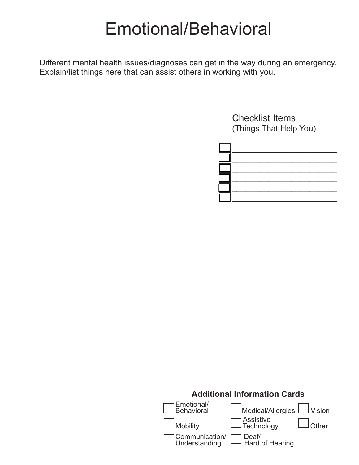### Emotional/Behavioral

Different mental health issues/diagnoses can get in the way during an emergency. Explain/list things here that can assist others in working with you.

> Checklist Items (Things That Help You)



### **Additional Information Cards** Emotional/<br>Behavioral  $J$ Medical/Allergies  $L$  Vision Mobility **Contracts** Mobility Technology **Lother** Communication/ **Deaf**/ Understanding Learnd of Hearing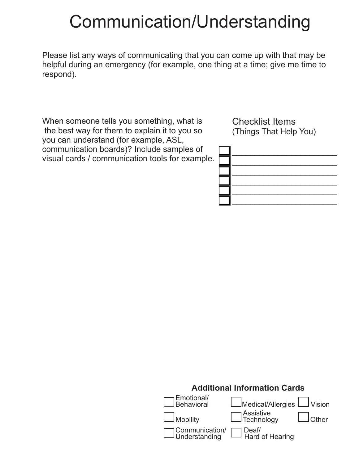### Communication/Understanding

Please list any ways of communicating that you can come up with that may be helpful during an emergency (for example, one thing at a time; give me time to respond).

When someone tells you something, what is the best way for them to explain it to you so you can understand (for example, ASL, communication boards)? Include samples of visual cards / communication tools for example.



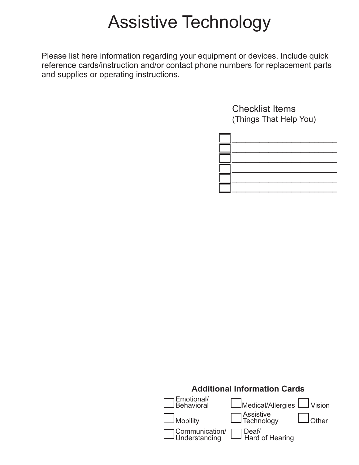### Assistive Technology

Please list here information regarding your equipment or devices. Include quick reference cards/instruction and/or contact phone numbers for replacement parts and supplies or operating instructions.



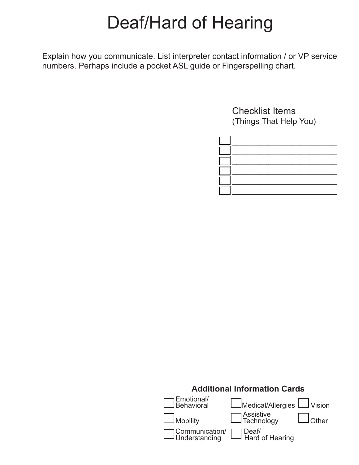### Deaf/Hard of Hearing

Explain how you communicate. List interpreter contact information / or VP service numbers. Perhaps include a pocket ASL guide or Fingerspelling chart.



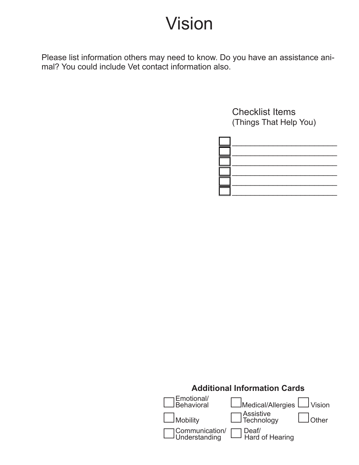### Vision

Please list information others may need to know. Do you have an assistance animal? You could include Vet contact information also.



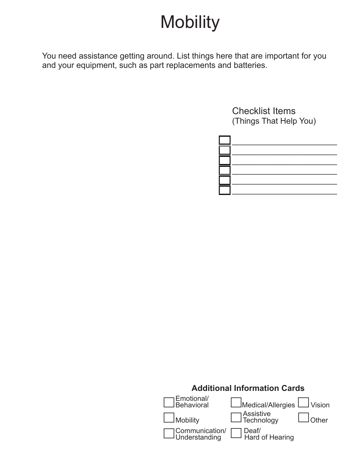### **Mobility**

You need assistance getting around. List things here that are important for you and your equipment, such as part replacements and batteries.



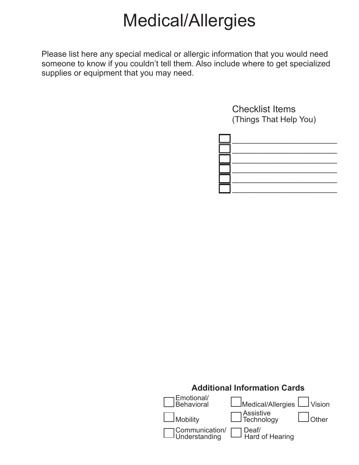# Medical/Allergies

Please list here any special medical or allergic information that you would need someone to know if you couldn't tell them. Also include where to get specialized supplies or equipment that you may need.



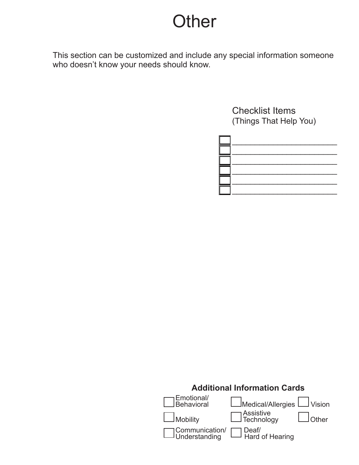### **Other**

This section can be customized and include any special information someone who doesn't know your needs should know.



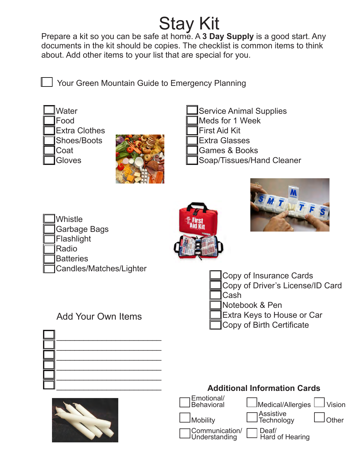**Stay Kit**<br>Prepare a kit so you can be safe at home. A 3 Day Supply is a good start. Any documents in the kit should be copies. The checklist is common items to think about. Add other items to your list that are special for you.

Your Green Mountain Guide to Emergency Planning



**Gloves** 



Service Animal Supplies

Meds for 1 Week

First Aid Kit

- Extra Glasses
- Games & Books
- Soap/Tissues/Hand Cleaner

Whistle Garbage Bags Flashlight Radio **Batteries** Candles/Matches/Lighter Candles/Matches/Lighter Candles/Matches/Lighter

Add Your Own Items





Copy of Driver's License/ID Card

Cash

Communication/<br>Understanding

- Notebook & Pen
- Extra Keys to House or Car

Deaf/<br>Hard of Hearing

Copy of Birth Certificate